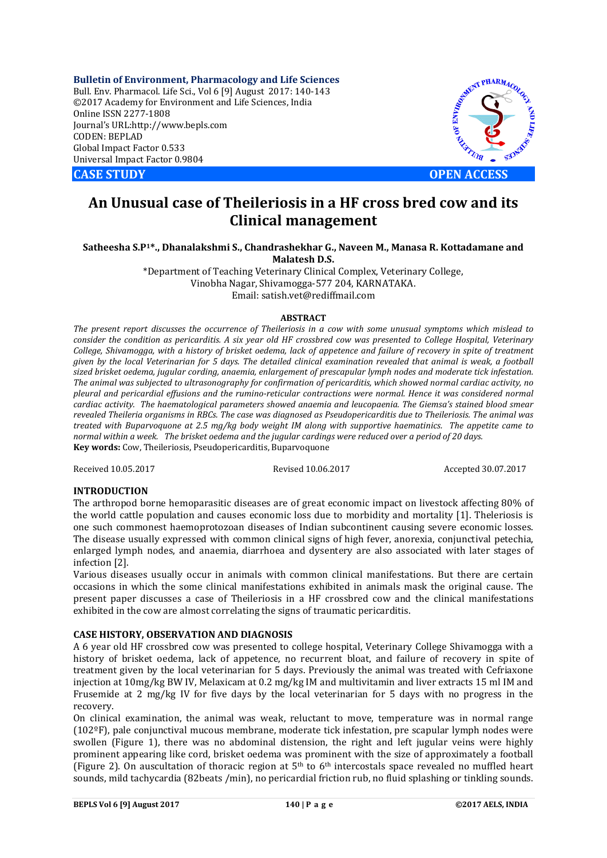**Bulletin of Environment, Pharmacology and Life Sciences** Bull. Env. Pharmacol. Life Sci., Vol 6 [9] August 2017: 140-143 ©2017 Academy for Environment and Life Sciences, India Online ISSN 2277-1808 Journal's URL:http://www.bepls.com CODEN: BEPLAD Global Impact Factor 0.533 Universal Impact Factor 0.9804



# **An Unusual case of Theileriosis in a HF cross bred cow and its Clinical management**

**Satheesha S.P1\*., Dhanalakshmi S., Chandrashekhar G., Naveen M., Manasa R. Kottadamane and Malatesh D.S.**

> \*Department of Teaching Veterinary Clinical Complex, Veterinary College, Vinobha Nagar, Shivamogga-577 204, KARNATAKA. Email: satish.vet@rediffmail.com

## **ABSTRACT**

*The present report discusses the occurrence of Theileriosis in a cow with some unusual symptoms which mislead to consider the condition as pericarditis. A six year old HF crossbred cow was presented to College Hospital, Veterinary College, Shivamogga, with a history of brisket oedema, lack of appetence and failure of recovery in spite of treatment given by the local Veterinarian for 5 days. The detailed clinical examination revealed that animal is weak, a football sized brisket oedema, jugular cording, anaemia, enlargement of prescapular lymph nodes and moderate tick infestation. The animal was subjected to ultrasonography for confirmation of pericarditis, which showed normal cardiac activity, no pleural and pericardial effusions and the rumino-reticular contractions were normal. Hence it was considered normal cardiac activity. The haematological parameters showed anaemia and leucopaenia. The Giemsa's stained blood smear revealed Theileria organisms in RBCs. The case was diagnosed as Pseudopericarditis due to Theileriosis. The animal was treated with Buparvoquone at 2.5 mg/kg body weight IM along with supportive haematinics. The appetite came to normal within a week. The brisket oedema and the jugular cardings were reduced over a period of 20 days.* **Key words:** Cow, Theileriosis, Pseudopericarditis, Buparvoquone

Received 10.05.2017 Revised 10.06.2017 Accepted 30.07.2017

# **INTRODUCTION**

The arthropod borne hemoparasitic diseases are of great economic impact on livestock affecting 80% of the world cattle population and causes economic loss due to morbidity and mortality [1]. Theleriosis is one such commonest haemoprotozoan diseases of Indian subcontinent causing severe economic losses. The disease usually expressed with common clinical signs of high fever, anorexia, conjunctival petechia, enlarged lymph nodes, and anaemia, diarrhoea and dysentery are also associated with later stages of infection [2].

Various diseases usually occur in animals with common clinical manifestations. But there are certain occasions in which the some clinical manifestations exhibited in animals mask the original cause. The present paper discusses a case of Theileriosis in a HF crossbred cow and the clinical manifestations exhibited in the cow are almost correlating the signs of traumatic pericarditis.

# **CASE HISTORY, OBSERVATION AND DIAGNOSIS**

A 6 year old HF crossbred cow was presented to college hospital, Veterinary College Shivamogga with a history of brisket oedema, lack of appetence, no recurrent bloat, and failure of recovery in spite of treatment given by the local veterinarian for 5 days. Previously the animal was treated with Cefriaxone injection at 10mg/kg BW IV, Melaxicam at 0.2 mg/kg IM and multivitamin and liver extracts 15 ml IM and Frusemide at 2 mg/kg IV for five days by the local veterinarian for 5 days with no progress in the recovery.

On clinical examination, the animal was weak, reluctant to move, temperature was in normal range (102ºF), pale conjunctival mucous membrane, moderate tick infestation, pre scapular lymph nodes were swollen (Figure 1), there was no abdominal distension, the right and left jugular veins were highly prominent appearing like cord, brisket oedema was prominent with the size of approximately a football (Figure 2). On auscultation of thoracic region at  $5<sup>th</sup>$  to 6<sup>th</sup> intercostals space revealed no muffled heart sounds, mild tachycardia (82beats /min), no pericardial friction rub, no fluid splashing or tinkling sounds.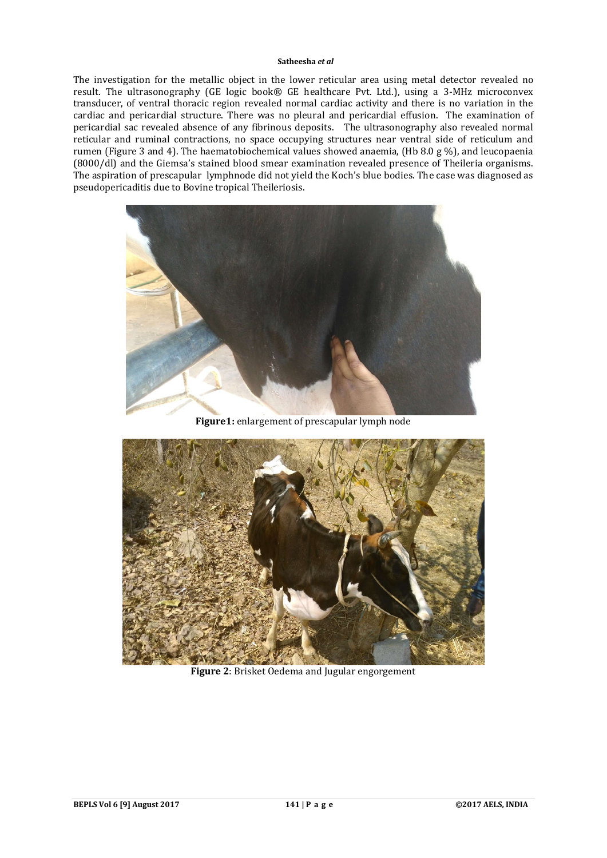## **Satheesha** *et al*

The investigation for the metallic object in the lower reticular area using metal detector revealed no result. The ultrasonography (GE logic book® GE healthcare Pvt. Ltd.), using a 3-MHz microconvex transducer, of ventral thoracic region revealed normal cardiac activity and there is no variation in the cardiac and pericardial structure. There was no pleural and pericardial effusion. The examination of pericardial sac revealed absence of any fibrinous deposits. The ultrasonography also revealed normal reticular and ruminal contractions, no space occupying structures near ventral side of reticulum and rumen (Figure 3 and 4). The haematobiochemical values showed anaemia, (Hb 8.0 g %), and leucopaenia (8000/dl) and the Giemsa's stained blood smear examination revealed presence of Theileria organisms. The aspiration of prescapular lymphnode did not yield the Koch's blue bodies. The case was diagnosed as pseudopericaditis due to Bovine tropical Theileriosis.



**Figure1:** enlargement of prescapular lymph node



**Figure 2**: Brisket Oedema and Jugular engorgement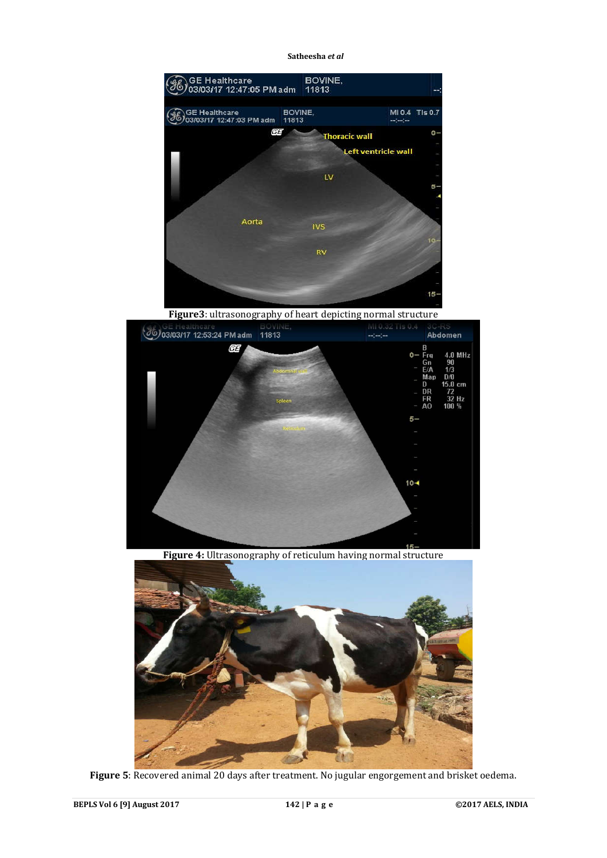**Satheesha** *et al*



**Figure3**: ultrasonography of heart depicting normal structure



**Figure 4:** Ultrasonography of reticulum having normal structure



**Figure 5**: Recovered animal 20 days after treatment. No jugular engorgement and brisket oedema.